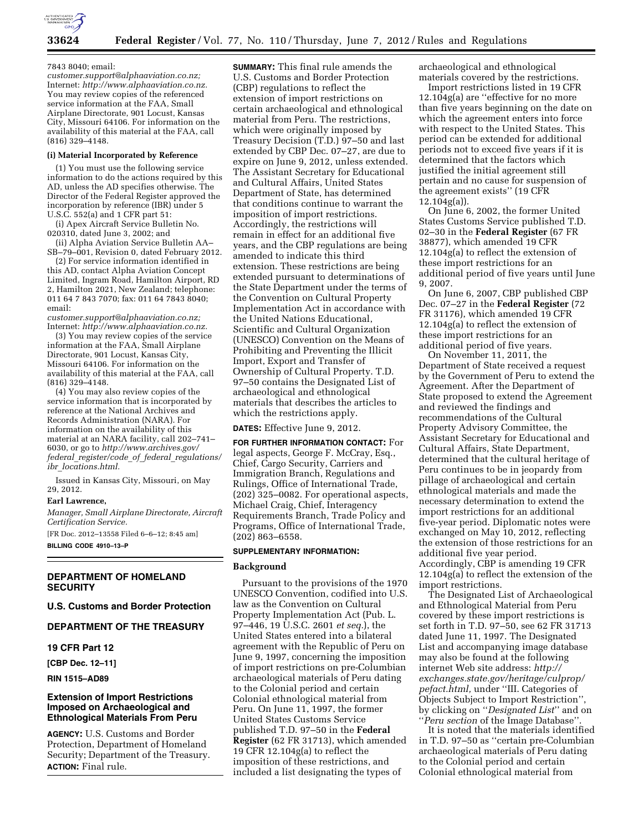

## **33624 Federal Register** / Vol. 77, No. 110 / Thursday, June 7, 2012 / Rules and Regulations

#### 7843 8040; email:

*[customer.support@alphaaviation.co.nz;](mailto:customer.support@alphaaviation.co.nz)*  Internet: *[http://www.alphaaviation.co.nz.](http://www.alphaaviation.co.nz)*  You may review copies of the referenced service information at the FAA, Small Airplane Directorate, 901 Locust, Kansas City, Missouri 64106. For information on the availability of this material at the FAA, call (816) 329–4148.

### **(i) Material Incorporated by Reference**

(1) You must use the following service information to do the actions required by this AD, unless the AD specifies otherwise. The Director of the Federal Register approved the incorporation by reference (IBR) under 5 U.S.C. 552(a) and 1 CFR part 51:

(i) Apex Aircraft Service Bulletin No. 020310, dated June 3, 2002; and

(ii) Alpha Aviation Service Bulletin AA– SB–79–001, Revision 0, dated February 2012.

(2) For service information identified in this AD, contact Alpha Aviation Concept Limited, Ingram Road, Hamilton Airport, RD 2, Hamilton 2021, New Zealand; telephone: 011 64 7 843 7070; fax: 011 64 7843 8040; email:

*[customer.support@alphaaviation.co.nz;](mailto:customer.support@alphaaviation.co.nz)*  Internet: *[http://www.alphaaviation.co.nz.](http://www.alphaaviation.co.nz)* 

(3) You may review copies of the service information at the FAA, Small Airplane Directorate, 901 Locust, Kansas City, Missouri 64106. For information on the availability of this material at the FAA, call (816) 329–4148.

(4) You may also review copies of the service information that is incorporated by reference at the National Archives and Records Administration (NARA). For information on the availability of this material at an NARA facility, call 202–741– 6030, or go to *[http://www.archives.gov/](http://www.archives.gov/federal_register/code_of_federal_regulations/ibr_locations.html)  federal*\_*[register/code](http://www.archives.gov/federal_register/code_of_federal_regulations/ibr_locations.html)*\_*of*\_*federal*\_*regulations/ ibr*\_*[locations.html.](http://www.archives.gov/federal_register/code_of_federal_regulations/ibr_locations.html)* 

Issued in Kansas City, Missouri, on May 29, 2012.

### **Earl Lawrence,**

*Manager, Small Airplane Directorate, Aircraft Certification Service.* 

[FR Doc. 2012–13558 Filed 6–6–12; 8:45 am] **BILLING CODE 4910–13–P** 

## **DEPARTMENT OF HOMELAND SECURITY**

**U.S. Customs and Border Protection** 

#### **DEPARTMENT OF THE TREASURY**

## **19 CFR Part 12**

**[CBP Dec. 12–11]** 

## **RIN 1515–AD89**

## **Extension of Import Restrictions Imposed on Archaeological and Ethnological Materials From Peru**

**AGENCY:** U.S. Customs and Border Protection, Department of Homeland Security; Department of the Treasury. **ACTION:** Final rule.

**SUMMARY:** This final rule amends the U.S. Customs and Border Protection (CBP) regulations to reflect the extension of import restrictions on certain archaeological and ethnological material from Peru. The restrictions, which were originally imposed by Treasury Decision (T.D.) 97–50 and last extended by CBP Dec. 07–27, are due to expire on June 9, 2012, unless extended. The Assistant Secretary for Educational and Cultural Affairs, United States Department of State, has determined that conditions continue to warrant the imposition of import restrictions. Accordingly, the restrictions will remain in effect for an additional five years, and the CBP regulations are being amended to indicate this third extension. These restrictions are being extended pursuant to determinations of the State Department under the terms of the Convention on Cultural Property Implementation Act in accordance with the United Nations Educational, Scientific and Cultural Organization (UNESCO) Convention on the Means of Prohibiting and Preventing the Illicit Import, Export and Transfer of Ownership of Cultural Property. T.D. 97–50 contains the Designated List of archaeological and ethnological materials that describes the articles to which the restrictions apply.

**DATES:** Effective June 9, 2012.

**FOR FURTHER INFORMATION CONTACT:** For legal aspects, George F. McCray, Esq., Chief, Cargo Security, Carriers and Immigration Branch, Regulations and Rulings, Office of International Trade, (202) 325–0082. For operational aspects, Michael Craig, Chief, Interagency Requirements Branch, Trade Policy and Programs, Office of International Trade, (202) 863–6558.

## **SUPPLEMENTARY INFORMATION:**

#### **Background**

Pursuant to the provisions of the 1970 UNESCO Convention, codified into U.S. law as the Convention on Cultural Property Implementation Act (Pub. L. 97–446, 19 U.S.C. 2601 *et seq.*), the United States entered into a bilateral agreement with the Republic of Peru on June 9, 1997, concerning the imposition of import restrictions on pre-Columbian archaeological materials of Peru dating to the Colonial period and certain Colonial ethnological material from Peru. On June 11, 1997, the former United States Customs Service published T.D. 97–50 in the **Federal Register** (62 FR 31713), which amended 19 CFR 12.104g(a) to reflect the imposition of these restrictions, and included a list designating the types of

archaeological and ethnological materials covered by the restrictions.

Import restrictions listed in 19 CFR 12.104g(a) are ''effective for no more than five years beginning on the date on which the agreement enters into force with respect to the United States. This period can be extended for additional periods not to exceed five years if it is determined that the factors which justified the initial agreement still pertain and no cause for suspension of the agreement exists'' (19 CFR  $12.104g(a)$ ).

On June 6, 2002, the former United States Customs Service published T.D. 02–30 in the **Federal Register** (67 FR 38877), which amended 19 CFR 12.104g(a) to reflect the extension of these import restrictions for an additional period of five years until June 9, 2007.

On June 6, 2007, CBP published CBP Dec. 07–27 in the **Federal Register** (72 FR 31176), which amended 19 CFR 12.104g(a) to reflect the extension of these import restrictions for an additional period of five years.

On November 11, 2011, the Department of State received a request by the Government of Peru to extend the Agreement. After the Department of State proposed to extend the Agreement and reviewed the findings and recommendations of the Cultural Property Advisory Committee, the Assistant Secretary for Educational and Cultural Affairs, State Department, determined that the cultural heritage of Peru continues to be in jeopardy from pillage of archaeological and certain ethnological materials and made the necessary determination to extend the import restrictions for an additional five-year period. Diplomatic notes were exchanged on May 10, 2012, reflecting the extension of those restrictions for an additional five year period. Accordingly, CBP is amending 19 CFR 12.104g(a) to reflect the extension of the import restrictions.

The Designated List of Archaeological and Ethnological Material from Peru covered by these import restrictions is set forth in T.D. 97–50, see 62 FR 31713 dated June 11, 1997. The Designated List and accompanying image database may also be found at the following internet Web site address: *[http://](http://exchanges.state.gov/heritage/culprop/pefact.html) [exchanges.state.gov/heritage/culprop/](http://exchanges.state.gov/heritage/culprop/pefact.html) [pefact.html,](http://exchanges.state.gov/heritage/culprop/pefact.html)* under ''III. Categories of Objects Subject to Import Restriction'', by clicking on ''*Designated List*'' and on ''*Peru section* of the Image Database''.

It is noted that the materials identified in T.D. 97–50 as ''certain pre-Columbian archaeological materials of Peru dating to the Colonial period and certain Colonial ethnological material from